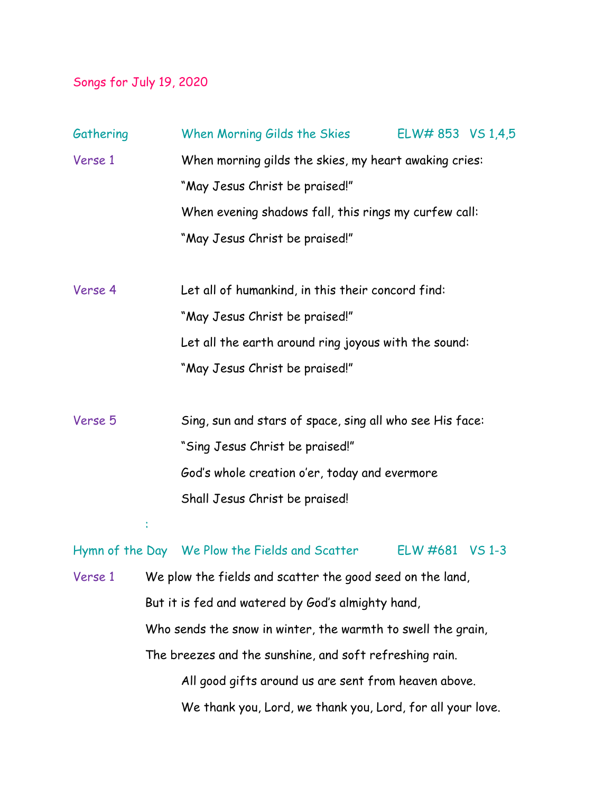## Songs for July 19, 2020

| Gathering |                                                                   | When Morning Gilds the Skies                                                                                                                     | ELW# 853 VS 1,4,5 |  |
|-----------|-------------------------------------------------------------------|--------------------------------------------------------------------------------------------------------------------------------------------------|-------------------|--|
| Verse 1   |                                                                   | When morning gilds the skies, my heart awaking cries:<br>"May Jesus Christ be praised!"<br>When evening shadows fall, this rings my curfew call: |                   |  |
|           |                                                                   |                                                                                                                                                  |                   |  |
|           |                                                                   |                                                                                                                                                  |                   |  |
|           |                                                                   | "May Jesus Christ be praised!"                                                                                                                   |                   |  |
| Verse 4   |                                                                   | Let all of humankind, in this their concord find:                                                                                                |                   |  |
|           |                                                                   | "May Jesus Christ be praised!"                                                                                                                   |                   |  |
|           |                                                                   | Let all the earth around ring joyous with the sound:                                                                                             |                   |  |
|           |                                                                   | "May Jesus Christ be praised!"                                                                                                                   |                   |  |
| Verse 5   |                                                                   | Sing, sun and stars of space, sing all who see His face:                                                                                         |                   |  |
|           |                                                                   | "Sing Jesus Christ be praised!"                                                                                                                  |                   |  |
|           |                                                                   | God's whole creation o'er, today and evermore                                                                                                    |                   |  |
|           |                                                                   | Shall Jesus Christ be praised!                                                                                                                   |                   |  |
|           |                                                                   |                                                                                                                                                  |                   |  |
|           |                                                                   | Hymn of the Day We Plow the Fields and Scatter                                                                                                   | ELW #681 VS 1-3   |  |
|           | Verse 1 We plow the fields and scatter the good seed on the land, |                                                                                                                                                  |                   |  |
|           | But it is fed and watered by God's almighty hand,                 |                                                                                                                                                  |                   |  |
|           | Who sends the snow in winter, the warmth to swell the grain,      |                                                                                                                                                  |                   |  |
|           | The breezes and the sunshine, and soft refreshing rain.           |                                                                                                                                                  |                   |  |
|           |                                                                   | All good gifts around us are sent from heaven above.                                                                                             |                   |  |
|           | We thank you, Lord, we thank you, Lord, for all your love.        |                                                                                                                                                  |                   |  |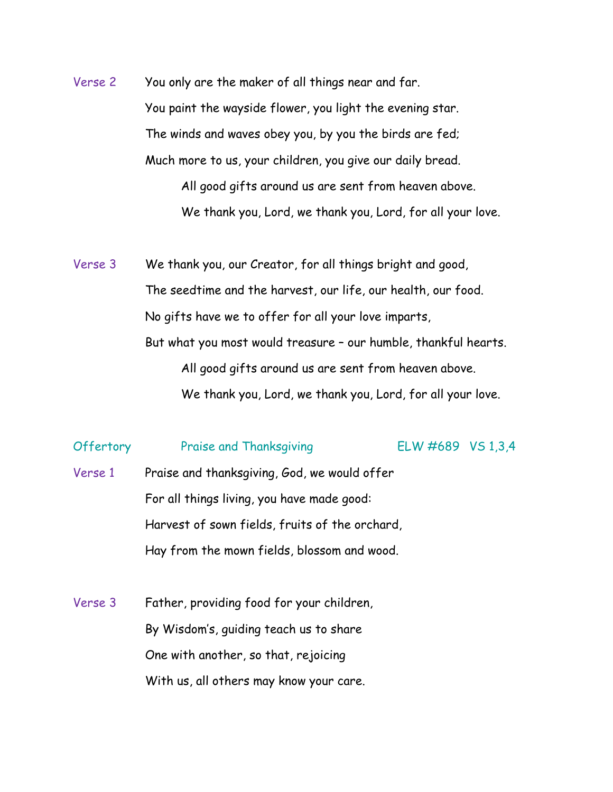Verse 2 You only are the maker of all things near and far. You paint the wayside flower, you light the evening star. The winds and waves obey you, by you the birds are fed; Much more to us, your children, you give our daily bread. All good gifts around us are sent from heaven above. We thank you, Lord, we thank you, Lord, for all your love.

Verse 3 We thank you, our Creator, for all things bright and good, The seedtime and the harvest, our life, our health, our food. No gifts have we to offer for all your love imparts, But what you most would treasure – our humble, thankful hearts. All good gifts around us are sent from heaven above. We thank you, Lord, we thank you, Lord, for all your love.

## Offertory Praise and Thanksgiving ELW #689 VS 1,3,4

- Verse 1 Praise and thanksgiving, God, we would offer For all things living, you have made good: Harvest of sown fields, fruits of the orchard, Hay from the mown fields, blossom and wood.
- Verse 3 Father, providing food for your children, By Wisdom's, guiding teach us to share One with another, so that, rejoicing With us, all others may know your care.